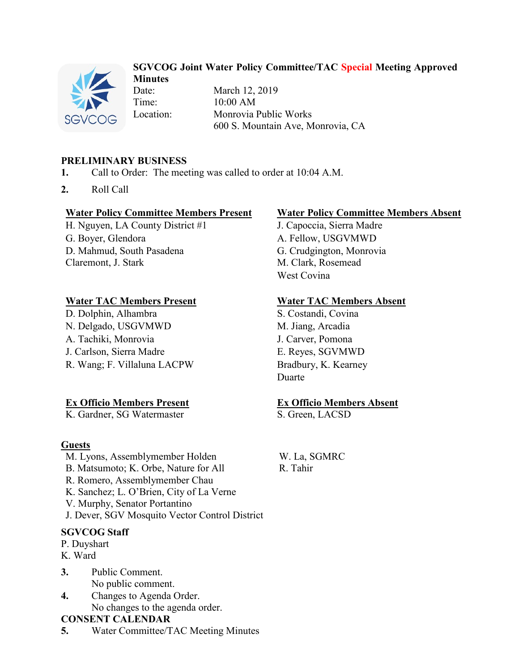

### **SGVCOG Joint Water Policy Committee/TAC Special Meeting Approved Minutes**

Date: March 12, 2019 Time: 10:00 AM Location: Monrovia Public Works 600 S. Mountain Ave, Monrovia, CA

## **PRELIMINARY BUSINESS**

- **1.** Call to Order: The meeting was called to order at 10:04 A.M.
- **2.** Roll Call

#### **Water Policy Committee Members Present Water Policy Committee Members Absent**

H. Nguyen, LA County District #1 J. Capoccia, Sierra Madre G. Boyer, Glendora A. Fellow, USGVMWD D. Mahmud, South Pasadena G. Crudgington, Monrovia Claremont, J. Stark M. Clark, Rosemead

#### **Water TAC Members Present Water TAC Members Absent**

D. Dolphin, Alhambra S. Costandi, Covina N. Delgado, USGVMWD M. Jiang, Arcadia A. Tachiki, Monrovia J. Carver, Pomona J. Carlson, Sierra Madre E. Reyes, SGVMWD R. Wang; F. Villaluna LACPW Bradbury, K. Kearney

### **Ex Officio Members Present Ex Officio Members Absent**

K. Gardner, SG Watermaster S. Green, LACSD

### **Guests**

M. Lyons, Assemblymember Holden W. La, SGMRC B. Matsumoto: K. Orbe, Nature for All R. Tahir R. Romero, Assemblymember Chau K. Sanchez; L. O'Brien, City of La Verne V. Murphy, Senator Portantino J. Dever, SGV Mosquito Vector Control District

# **SGVCOG Staff**

- P. Duyshart
- K. Ward
- **3.** Public Comment. No public comment.
- **4.** Changes to Agenda Order. No changes to the agenda order.

#### **CONSENT CALENDAR**

**5.** Water Committee/TAC Meeting Minutes

West Covina

Duarte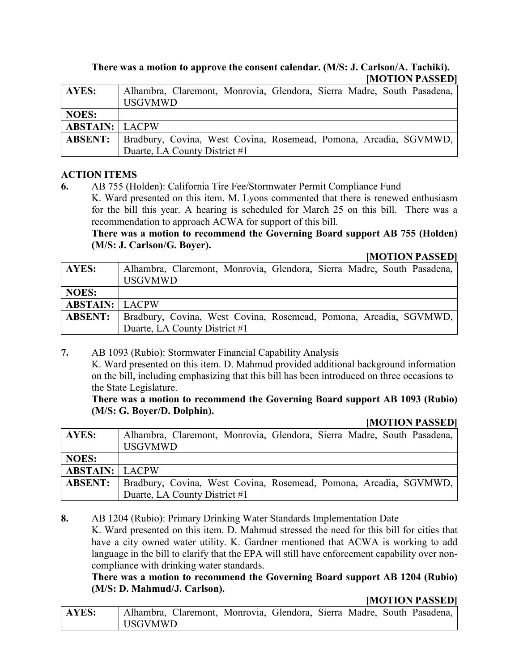#### **There was a motion to approve the consent calendar. (M/S: J. Carlson/A. Tachiki). [MOTION PASSED]**

| AYES:                 | Alhambra, Claremont, Monrovia, Glendora, Sierra Madre, South Pasadena,<br><b>USGVMWD</b> |
|-----------------------|------------------------------------------------------------------------------------------|
| <b>NOES:</b>          |                                                                                          |
| <b>ABSTAIN: LACPW</b> |                                                                                          |
| <b>ABSENT:</b>        | Bradbury, Covina, West Covina, Rosemead, Pomona, Arcadia, SGVMWD,                        |
|                       | Duarte, LA County District #1                                                            |

#### **ACTION ITEMS**

**6.** AB 755 (Holden): California Tire Fee/Stormwater Permit Compliance Fund

K. Ward presented on this item. M. Lyons commented that there is renewed enthusiasm for the bill this year. A hearing is scheduled for March 25 on this bill. There was a recommendation to approach ACWA for support of this bill.

**There was a motion to recommend the Governing Board support AB 755 (Holden) (M/S: J. Carlson/G. Boyer).**

#### **[MOTION PASSED]**

| AYES:                 | Alhambra, Claremont, Monrovia, Glendora, Sierra Madre, South Pasadena, |
|-----------------------|------------------------------------------------------------------------|
|                       | <b>USGVMWD</b>                                                         |
| <b>NOES:</b>          |                                                                        |
| <b>ABSTAIN: LACPW</b> |                                                                        |
| <b>ABSENT:</b>        | Bradbury, Covina, West Covina, Rosemead, Pomona, Arcadia, SGVMWD,      |
|                       | Duarte, LA County District #1                                          |

**7.** AB 1093 (Rubio): Stormwater Financial Capability Analysis

K. Ward presented on this item. D. Mahmud provided additional background information on the bill, including emphasizing that this bill has been introduced on three occasions to the State Legislature.

#### **There was a motion to recommend the Governing Board support AB 1093 (Rubio) (M/S: G. Boyer/D. Dolphin).**

#### **[MOTION PASSED]**

| <b>AYES:</b>          | Alhambra, Claremont, Monrovia, Glendora, Sierra Madre, South Pasadena,<br><b>USGVMWD</b> |
|-----------------------|------------------------------------------------------------------------------------------|
| <b>NOES:</b>          |                                                                                          |
| <b>ABSTAIN: LACPW</b> |                                                                                          |
| <b>ABSENT:</b>        | Bradbury, Covina, West Covina, Rosemead, Pomona, Arcadia, SGVMWD,                        |
|                       | Duarte, LA County District #1                                                            |

**8.** AB 1204 (Rubio): Primary Drinking Water Standards Implementation Date

K. Ward presented on this item. D. Mahmud stressed the need for this bill for cities that have a city owned water utility. K. Gardner mentioned that ACWA is working to add language in the bill to clarify that the EPA will still have enforcement capability over noncompliance with drinking water standards.

**There was a motion to recommend the Governing Board support AB 1204 (Rubio) (M/S: D. Mahmud/J. Carlson).**

#### **[MOTION PASSED]**

| AYES: | Alhambra, Claremont, Monrovia, Glendora, Sierra Madre, South Pasadena, |  |  |  |  |
|-------|------------------------------------------------------------------------|--|--|--|--|
|       | l USGVMWD                                                              |  |  |  |  |